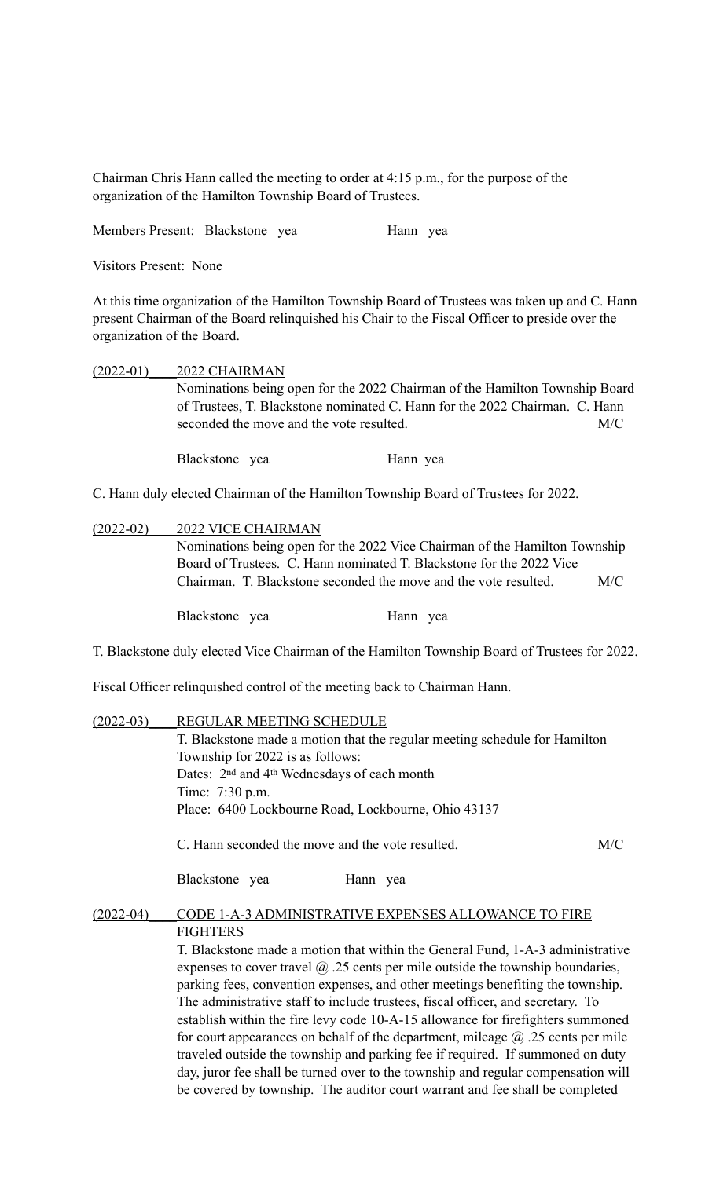Chairman Chris Hann called the meeting to order at 4:15 p.m., for the purpose of the organization of the Hamilton Township Board of Trustees.

Members Present: Blackstone yea Hann yea

Visitors Present: None

At this time organization of the Hamilton Township Board of Trustees was taken up and C. Hann present Chairman of the Board relinquished his Chair to the Fiscal Officer to preside over the organization of the Board.

| $(2022-01)$ | 2022 CHAIRMAN                                                                                                                                              |          |  |
|-------------|------------------------------------------------------------------------------------------------------------------------------------------------------------|----------|--|
|             | Nominations being open for the 2022 Chairman of the Hamilton Township Board<br>of Trustees, T. Blackstone nominated C. Hann for the 2022 Chairman. C. Hann |          |  |
|             |                                                                                                                                                            |          |  |
|             |                                                                                                                                                            |          |  |
|             | Blackstone yea                                                                                                                                             | Hann yea |  |

C. Hann duly elected Chairman of the Hamilton Township Board of Trustees for 2022.

## (2022-02)\_\_\_\_2022 VICE CHAIRMAN

Nominations being open for the 2022 Vice Chairman of the Hamilton Township Board of Trustees. C. Hann nominated T. Blackstone for the 2022 Vice Chairman. T. Blackstone seconded the move and the vote resulted. M/C

Blackstone yea Hann yea

T. Blackstone duly elected Vice Chairman of the Hamilton Township Board of Trustees for 2022.

Fiscal Officer relinquished control of the meeting back to Chairman Hann.

| REGULAR MEETING SCHEDULE<br>T. Blackstone made a motion that the regular meeting schedule for Hamilton<br>Township for 2022 is as follows:<br>Dates: 2 <sup>nd</sup> and 4 <sup>th</sup> Wednesdays of each month<br>Time: 7:30 p.m.<br>Place: 6400 Lockbourne Road, Lockbourne, Ohio 43137 |  |  |                                                                                                                                                                                                                                                                                                                                                                                                                                  |                 |  |
|---------------------------------------------------------------------------------------------------------------------------------------------------------------------------------------------------------------------------------------------------------------------------------------------|--|--|----------------------------------------------------------------------------------------------------------------------------------------------------------------------------------------------------------------------------------------------------------------------------------------------------------------------------------------------------------------------------------------------------------------------------------|-----------------|--|
|                                                                                                                                                                                                                                                                                             |  |  | C. Hann seconded the move and the vote resulted.<br>M/C                                                                                                                                                                                                                                                                                                                                                                          |                 |  |
|                                                                                                                                                                                                                                                                                             |  |  | Blackstone yea<br>Hann yea                                                                                                                                                                                                                                                                                                                                                                                                       |                 |  |
|                                                                                                                                                                                                                                                                                             |  |  | CODE 1-A-3 ADMINISTRATIVE EXPENSES ALLOWANCE TO FIRE                                                                                                                                                                                                                                                                                                                                                                             |                 |  |
|                                                                                                                                                                                                                                                                                             |  |  | T. Blackstone made a motion that within the General Fund, 1-A-3 administrative<br>expenses to cover travel $\omega$ . 25 cents per mile outside the township boundaries,<br>parking fees, convention expenses, and other meetings benefiting the township.<br>The administrative staff to include trustees, fiscal officer, and secretary. To<br>establish within the fire levy code 10-A-15 allowance for firefighters summoned |                 |  |
|                                                                                                                                                                                                                                                                                             |  |  |                                                                                                                                                                                                                                                                                                                                                                                                                                  | <b>FIGHTERS</b> |  |

for court appearances on behalf of the department, mileage @ .25 cents per mile traveled outside the township and parking fee if required. If summoned on duty day, juror fee shall be turned over to the township and regular compensation will be covered by township. The auditor court warrant and fee shall be completed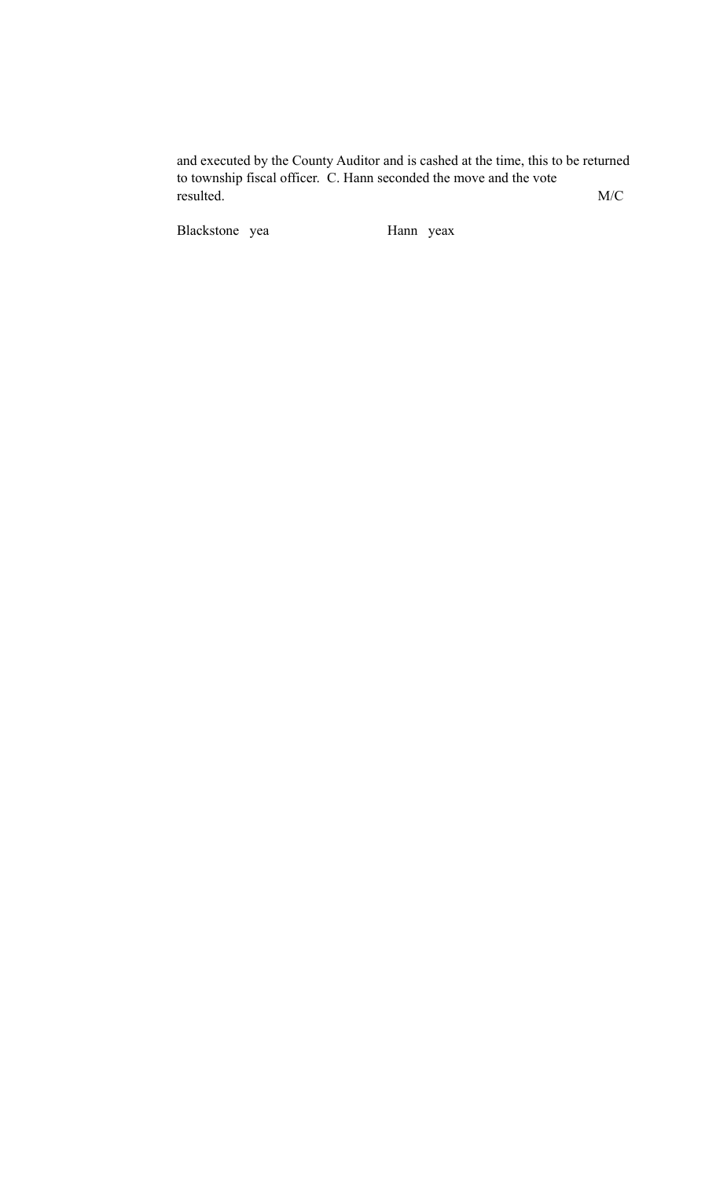and executed by the County Auditor and is cashed at the time, this to be returned to township fiscal officer. C. Hann seconded the move and the vote resulted. M/C

Blackstone yea Hann yeax